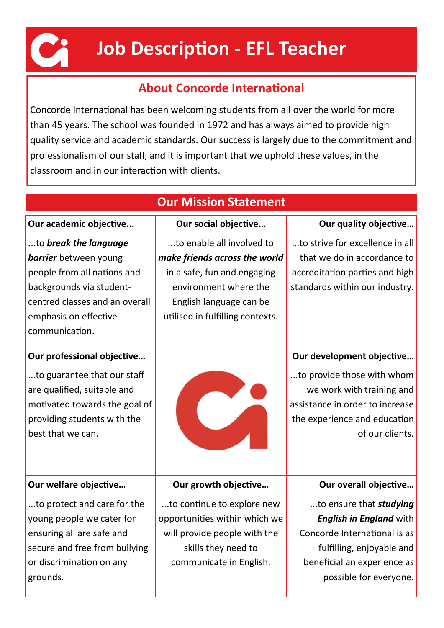

# **Job Description - EFL Teacher**

### **About Concorde International**

Concorde International has been welcoming students from all over the world for more than 45 years. The school was founded in 1972 and has always aimed to provide high quality service and academic standards. Our success is largely due to the commitment and professionalism of our staff, and it is important that we uphold these values, in the classroom and in our interaction with clients.

| <b>Our Mission Statement</b>                                                                                                                                                                  |                                                                                                                                                                                   |                                                                                                                                                                                        |  |  |  |  |
|-----------------------------------------------------------------------------------------------------------------------------------------------------------------------------------------------|-----------------------------------------------------------------------------------------------------------------------------------------------------------------------------------|----------------------------------------------------------------------------------------------------------------------------------------------------------------------------------------|--|--|--|--|
| Our academic objective                                                                                                                                                                        | Our social objective                                                                                                                                                              | Our quality objective                                                                                                                                                                  |  |  |  |  |
| to break the language<br><b>barrier</b> between young<br>people from all nations and<br>backgrounds via student-<br>centred classes and an overall<br>emphasis on effective<br>communication. | to enable all involved to<br>make friends across the world<br>in a safe, fun and engaging<br>environment where the<br>English language can be<br>utilised in fulfilling contexts. | to strive for excellence in all<br>that we do in accordance to<br>accreditation parties and high<br>standards within our industry.                                                     |  |  |  |  |
| Our professional objective<br>to guarantee that our staff<br>are qualified, suitable and<br>motivated towards the goal of<br>providing students with the<br>best that we can.                 |                                                                                                                                                                                   | Our development objective<br>to provide those with whom<br>we work with training and<br>assistance in order to increase<br>the experience and education<br>of our clients.             |  |  |  |  |
| Our welfare objective                                                                                                                                                                         | Our growth objective                                                                                                                                                              | Our overall objective                                                                                                                                                                  |  |  |  |  |
| to protect and care for the<br>young people we cater for<br>ensuring all are safe and<br>secure and free from bullying<br>or discrimination on any<br>grounds.                                | to continue to explore new<br>opportunities within which we<br>will provide people with the<br>skills they need to<br>communicate in English.                                     | to ensure that <i>studying</i><br><b>English in England with</b><br>Concorde International is as<br>fulfilling, enjoyable and<br>beneficial an experience as<br>possible for everyone. |  |  |  |  |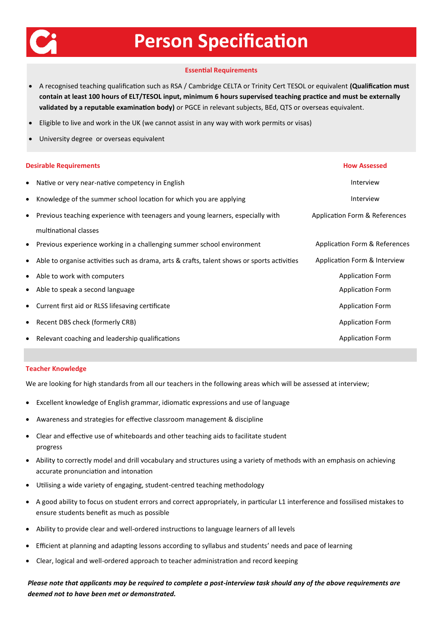

# **Person Specification**

#### **Essential Requirements**

- A recognised teaching qualification such as RSA / Cambridge CELTA or Trinity Cert TESOL or equivalent **(Qualification must contain at least 100 hours of ELT/TESOL input, minimum 6 hours supervised teaching practice and must be externally validated by a reputable examination body)** or PGCE in relevant subjects, BEd, QTS or overseas equivalent.
- Eligible to live and work in the UK (we cannot assist in any way with work permits or visas)
- University degree or overseas equivalent

| Native or very near-native competency in English<br>Interview<br>$\bullet$<br>Knowledge of the summer school location for which you are applying<br>Interview<br>٠<br>Previous teaching experience with teenagers and young learners, especially with<br>Application Form & References<br>$\bullet$<br>multinational classes<br>Previous experience working in a challenging summer school environment<br>$\bullet$<br>Application Form & Interview<br>Able to organise activities such as drama, arts & crafts, talent shows or sports activities<br>٠<br><b>Application Form</b><br>Able to work with computers<br>$\bullet$<br><b>Application Form</b><br>Able to speak a second language<br>٠<br><b>Application Form</b><br>Current first aid or RLSS lifesaving certificate<br>٠ | <b>Desirable Requirements</b> | <b>How Assessed</b>           |
|---------------------------------------------------------------------------------------------------------------------------------------------------------------------------------------------------------------------------------------------------------------------------------------------------------------------------------------------------------------------------------------------------------------------------------------------------------------------------------------------------------------------------------------------------------------------------------------------------------------------------------------------------------------------------------------------------------------------------------------------------------------------------------------|-------------------------------|-------------------------------|
|                                                                                                                                                                                                                                                                                                                                                                                                                                                                                                                                                                                                                                                                                                                                                                                       |                               |                               |
|                                                                                                                                                                                                                                                                                                                                                                                                                                                                                                                                                                                                                                                                                                                                                                                       |                               |                               |
|                                                                                                                                                                                                                                                                                                                                                                                                                                                                                                                                                                                                                                                                                                                                                                                       |                               |                               |
|                                                                                                                                                                                                                                                                                                                                                                                                                                                                                                                                                                                                                                                                                                                                                                                       |                               |                               |
|                                                                                                                                                                                                                                                                                                                                                                                                                                                                                                                                                                                                                                                                                                                                                                                       |                               | Application Form & References |
|                                                                                                                                                                                                                                                                                                                                                                                                                                                                                                                                                                                                                                                                                                                                                                                       |                               |                               |
|                                                                                                                                                                                                                                                                                                                                                                                                                                                                                                                                                                                                                                                                                                                                                                                       |                               |                               |
|                                                                                                                                                                                                                                                                                                                                                                                                                                                                                                                                                                                                                                                                                                                                                                                       |                               |                               |
|                                                                                                                                                                                                                                                                                                                                                                                                                                                                                                                                                                                                                                                                                                                                                                                       |                               |                               |
| <b>Application Form</b><br>Recent DBS check (formerly CRB)<br>٠                                                                                                                                                                                                                                                                                                                                                                                                                                                                                                                                                                                                                                                                                                                       |                               |                               |
| Relevant coaching and leadership qualifications<br><b>Application Form</b><br>٠                                                                                                                                                                                                                                                                                                                                                                                                                                                                                                                                                                                                                                                                                                       |                               |                               |

#### **Teacher Knowledge**

We are looking for high standards from all our teachers in the following areas which will be assessed at interview;

- Excellent knowledge of English grammar, idiomatic expressions and use of language
- Awareness and strategies for effective classroom management & discipline
- Clear and effective use of whiteboards and other teaching aids to facilitate student progress
- Ability to correctly model and drill vocabulary and structures using a variety of methods with an emphasis on achieving accurate pronunciation and intonation
- Utilising a wide variety of engaging, student-centred teaching methodology
- A good ability to focus on student errors and correct appropriately, in particular L1 interference and fossilised mistakes to ensure students benefit as much as possible
- Ability to provide clear and well-ordered instructions to language learners of all levels
- Efficient at planning and adapting lessons according to syllabus and students' needs and pace of learning
- Clear, logical and well-ordered approach to teacher administration and record keeping

*Please note that applicants may be required to complete a post-interview task should any of the above requirements are deemed not to have been met or demonstrated.*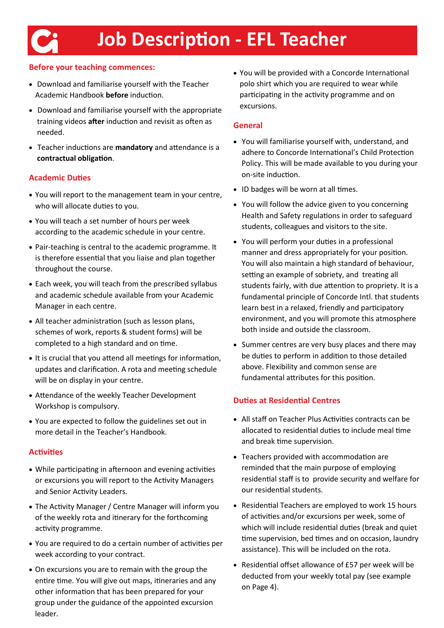### **Before your teaching commences:**

- Download and familiarise yourself with the Teacher Academic Handbook **before** induction.
- Download and familiarise yourself with the appropriate training videos **after** induction and revisit as often as needed.
- Teacher inductions are **mandatory** and attendance is a **contractual obligation**.

### **Academic Duties**

- You will report to the management team in your centre, who will allocate duties to you.
- You will teach a set number of hours per week according to the academic schedule in your centre.
- Pair-teaching is central to the academic programme. It is therefore essential that you liaise and plan together throughout the course.
- Each week, you will teach from the prescribed syllabus and academic schedule available from your Academic Manager in each centre.
- All teacher administration (such as lesson plans, schemes of work, reports & student forms) will be completed to a high standard and on time.
- It is crucial that you attend all meetings for information, updates and clarification. A rota and meeting schedule will be on display in your centre.
- Attendance of the weekly Teacher Development Workshop is compulsory.
- You are expected to follow the guidelines set out in more detail in the Teacher's Handbook.

#### **Activities**

- While participating in afternoon and evening activities or excursions you will report to the Activity Managers and Senior Activity Leaders.
- The Activity Manager / Centre Manager will inform you of the weekly rota and itinerary for the forthcoming activity programme.
- You are required to do a certain number of activities per week according to your contract.
- On excursions you are to remain with the group the entire time. You will give out maps, itineraries and any other information that has been prepared for your group under the guidance of the appointed excursion leader.

• You will be provided with a Concorde International polo shirt which you are required to wear while participating in the activity programme and on excursions.

### **General**

- You will familiarise yourself with, understand, and adhere to Concorde International's Child Protection Policy. This will be made available to you during your on-site induction.
- ID badges will be worn at all times.
- You will follow the advice given to you concerning Health and Safety regulations in order to safeguard students, colleagues and visitors to the site.
- You will perform your duties in a professional manner and dress appropriately for your position. You will also maintain a high standard of behaviour, setting an example of sobriety, and treating all students fairly, with due attention to propriety. It is a fundamental principle of Concorde Intl. that students learn best in a relaxed, friendly and participatory environment, and you will promote this atmosphere both inside and outside the classroom.
- Summer centres are very busy places and there may be duties to perform in addition to those detailed above. Flexibility and common sense are fundamental attributes for this position.

### **Duties at Residential Centres**

- All staff on Teacher Plus Activities contracts can be allocated to residential duties to include meal time and break time supervision.
- Teachers provided with accommodation are reminded that the main purpose of employing residential staff is to provide security and welfare for our residential students.
- Residential Teachers are employed to work 15 hours of activities and/or excursions per week, some of which will include residential duties (break and quiet time supervision, bed times and on occasion, laundry assistance). This will be included on the rota.
- Residential offset allowance of £57 per week will be deducted from your weekly total pay (see example on Page 4).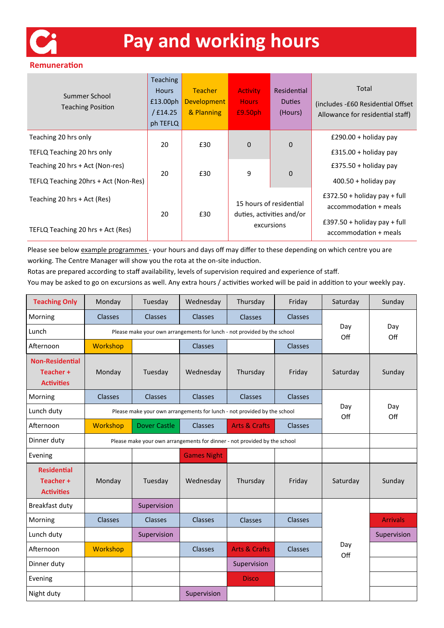

# **Pay and working hours**

#### **Remuneration**

| Summer School<br><b>Teaching Position</b> | <b>Teaching</b><br><b>Hours</b><br>£13.00ph<br>£14.25<br>ph TEFLQ | <b>Teacher</b><br><b>Development</b><br>& Planning | <b>Activity</b><br><b>Hours</b><br>£9.50ph                         | Residential<br><b>Duties</b><br>(Hours) | Total<br>(includes -£60 Residential Offset)<br>Allowance for residential staff) |
|-------------------------------------------|-------------------------------------------------------------------|----------------------------------------------------|--------------------------------------------------------------------|-----------------------------------------|---------------------------------------------------------------------------------|
| Teaching 20 hrs only                      | 20                                                                | £30                                                | $\mathbf 0$                                                        | $\mathbf 0$                             | £290.00 + holiday pay                                                           |
| TEFLQ Teaching 20 hrs only                |                                                                   |                                                    |                                                                    |                                         | $£315.00 + holiday pay$                                                         |
| Teaching 20 hrs + Act (Non-res)           | 20                                                                | £30                                                |                                                                    | $\mathbf 0$                             | £375.50 + holiday pay                                                           |
| TEFLQ Teaching 20hrs + Act (Non-Res)      |                                                                   |                                                    | 9                                                                  |                                         | $400.50 +$ holiday pay                                                          |
| Teaching 20 hrs + Act (Res)               | 20                                                                | £30                                                | 15 hours of residential<br>duties, activities and/or<br>excursions |                                         | $£372.50 + holiday pay + full$<br>accommodation + meals                         |
| TEFLQ Teaching 20 hrs + Act (Res)         |                                                                   |                                                    |                                                                    |                                         | $£397.50 + holiday pay + full$<br>accommodation + meals                         |

Please see below example programmes - your hours and days off may differ to these depending on which centre you are working. The Centre Manager will show you the rota at the on-site induction.

Rotas are prepared according to staff availability, levels of supervision required and experience of staff.

You may be asked to go on excursions as well. Any extra hours / activities worked will be paid in addition to your weekly pay.

| <b>Teaching Only</b>                                    | Monday                                                                   | Tuesday                                                                   | Wednesday      | Thursday                 | Friday         | Saturday   | Sunday          |
|---------------------------------------------------------|--------------------------------------------------------------------------|---------------------------------------------------------------------------|----------------|--------------------------|----------------|------------|-----------------|
| Morning                                                 | <b>Classes</b>                                                           | <b>Classes</b>                                                            | <b>Classes</b> | Classes                  | <b>Classes</b> |            |                 |
| Lunch                                                   | Please make your own arrangements for lunch - not provided by the school |                                                                           |                |                          | Day<br>Off     | Day<br>Off |                 |
| Afternoon                                               | Workshop                                                                 |                                                                           | <b>Classes</b> |                          | <b>Classes</b> |            |                 |
| <b>Non-Residential</b><br>Teacher+<br><b>Activities</b> | Monday                                                                   | Tuesday                                                                   | Wednesday      | Thursday                 | Friday         | Saturday   | Sunday          |
| Morning                                                 | <b>Classes</b>                                                           | <b>Classes</b>                                                            | <b>Classes</b> | <b>Classes</b>           | <b>Classes</b> | Day        |                 |
| Lunch duty                                              |                                                                          | Please make your own arrangements for lunch - not provided by the school  |                |                          |                |            | Day<br>Off      |
| Afternoon                                               | Workshop                                                                 | Dover Castle                                                              | <b>Classes</b> | <b>Arts &amp; Crafts</b> | <b>Classes</b> | Off        |                 |
| Dinner duty                                             |                                                                          | Please make your own arrangements for dinner - not provided by the school |                |                          |                |            |                 |
| Evening                                                 |                                                                          | <b>Games Night</b>                                                        |                |                          |                |            |                 |
| <b>Residential</b><br>Teacher+<br><b>Activities</b>     | Monday                                                                   | Tuesday                                                                   | Wednesday      | Thursday                 | Friday         | Saturday   | Sunday          |
| Breakfast duty                                          |                                                                          | Supervision                                                               |                |                          |                |            |                 |
| Morning                                                 | <b>Classes</b>                                                           | Classes                                                                   | <b>Classes</b> | <b>Classes</b>           | Classes        | Day<br>Off | <b>Arrivals</b> |
| Lunch duty                                              |                                                                          | Supervision                                                               |                |                          |                |            | Supervision     |
| Afternoon                                               | Workshop                                                                 |                                                                           | <b>Classes</b> | <b>Arts &amp; Crafts</b> | <b>Classes</b> |            |                 |
| Dinner duty                                             |                                                                          |                                                                           |                | Supervision              |                |            |                 |
| Evening                                                 |                                                                          |                                                                           |                | <b>Disco</b>             |                |            |                 |
| Night duty                                              |                                                                          |                                                                           | Supervision    |                          |                |            |                 |